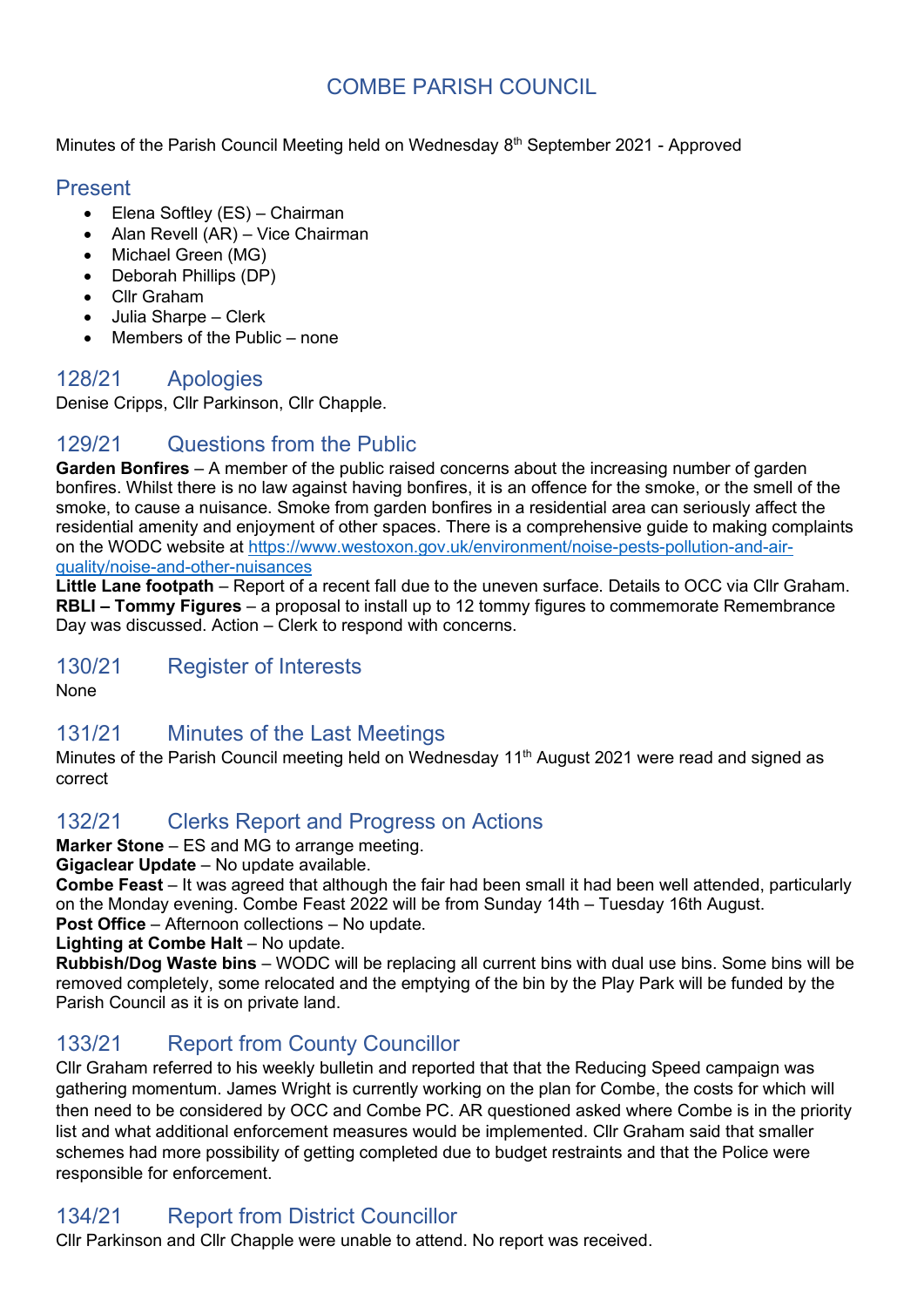# COMBE PARISH COUNCIL

Minutes of the Parish Council Meeting held on Wednesday 8<sup>th</sup> September 2021 - Approved

### Present

- Elena Softley (ES) Chairman
- Alan Revell (AR) Vice Chairman
- Michael Green (MG)
- Deborah Phillips (DP)
- Cllr Graham
- Julia Sharpe Clerk
- Members of the Public none

### 128/21 Apologies

Denise Cripps, Cllr Parkinson, Cllr Chapple.

## 129/21 Questions from the Public

**Garden Bonfires** – A member of the public raised concerns about the increasing number of garden bonfires. Whilst there is no law against having bonfires, it is an offence for the smoke, or the smell of the smoke, to cause a nuisance. Smoke from garden bonfires in a residential area can seriously affect the residential amenity and enjoyment of other spaces. There is a comprehensive guide to making complaints on the WODC website at [https://www.westoxon.gov.uk/environment/noise-pests-pollution-and-air](https://www.westoxon.gov.uk/environment/noise-pests-pollution-and-air-quality/noise-and-other-nuisances)[quality/noise-and-other-nuisances](https://www.westoxon.gov.uk/environment/noise-pests-pollution-and-air-quality/noise-and-other-nuisances)

**Little Lane footpath** – Report of a recent fall due to the uneven surface. Details to OCC via Cllr Graham. **RBLI – Tommy Figures** – a proposal to install up to 12 tommy figures to commemorate Remembrance Day was discussed. Action – Clerk to respond with concerns.

### 130/21 Register of Interests

None

## 131/21 Minutes of the Last Meetings

Minutes of the Parish Council meeting held on Wednesday 11<sup>th</sup> August 2021 were read and signed as correct

## 132/21 Clerks Report and Progress on Actions

**Marker Stone** – ES and MG to arrange meeting.

**Gigaclear Update** – No update available.

**Combe Feast** – It was agreed that although the fair had been small it had been well attended, particularly on the Monday evening. Combe Feast 2022 will be from Sunday 14th – Tuesday 16th August. **Post Office** – Afternoon collections – No update.

**Lighting at Combe Halt** – No update.

**Rubbish/Dog Waste bins** – WODC will be replacing all current bins with dual use bins. Some bins will be removed completely, some relocated and the emptying of the bin by the Play Park will be funded by the Parish Council as it is on private land.

## 133/21 Report from County Councillor

Cllr Graham referred to his weekly bulletin and reported that that the Reducing Speed campaign was gathering momentum. James Wright is currently working on the plan for Combe, the costs for which will then need to be considered by OCC and Combe PC. AR questioned asked where Combe is in the priority list and what additional enforcement measures would be implemented. Cllr Graham said that smaller schemes had more possibility of getting completed due to budget restraints and that the Police were responsible for enforcement.

# 134/21 Report from District Councillor

Cllr Parkinson and Cllr Chapple were unable to attend. No report was received.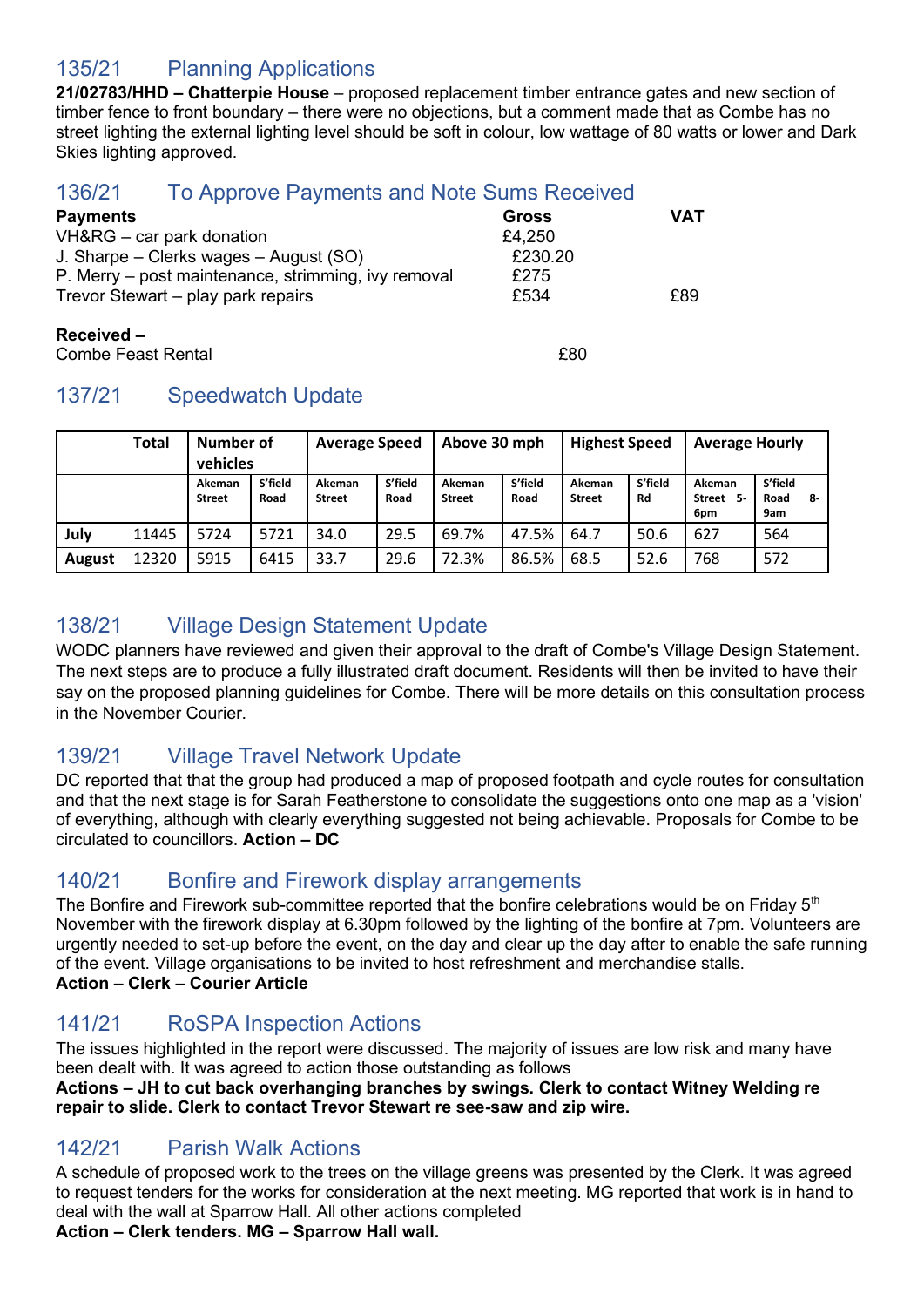# 135/21 Planning Applications

**21/02783/HHD – Chatterpie House** – proposed replacement timber entrance gates and new section of timber fence to front boundary – there were no objections, but a comment made that as Combe has no street lighting the external lighting level should be soft in colour, low wattage of 80 watts or lower and Dark Skies lighting approved.

## 136/21 To Approve Payments and Note Sums Received

| <b>Payments</b>                                     | <b>Gross</b> | VAT |
|-----------------------------------------------------|--------------|-----|
| VH&RG – car park donation                           | £4,250       |     |
| J. Sharpe – Clerks wages – August (SO)              | £230.20      |     |
| P. Merry – post maintenance, strimming, ivy removal | £275         |     |
| Trevor Stewart – play park repairs                  | £534         | £89 |
|                                                     |              |     |

#### **Received –**

Combe Feast Rental £80

# 137/21 Speedwatch Update

|               | Total | Number of<br>vehicles   |                 | Above 30 mph<br><b>Average Speed</b> |                 |                         | <b>Highest Speed</b> |                         | <b>Average Hourly</b> |                                |                              |
|---------------|-------|-------------------------|-----------------|--------------------------------------|-----------------|-------------------------|----------------------|-------------------------|-----------------------|--------------------------------|------------------------------|
|               |       | Akeman<br><b>Street</b> | S'field<br>Road | Akeman<br><b>Street</b>              | S'field<br>Road | Akeman<br><b>Street</b> | S'field<br>Road      | Akeman<br><b>Street</b> | S'field<br>Rd         | Akeman<br>Street<br>-5-<br>6pm | S'field<br>Road<br>-8<br>9am |
| July          | 11445 | 5724                    | 5721            | 34.0                                 | 29.5            | 69.7%                   | 47.5%                | 64.7                    | 50.6                  | 627                            | 564                          |
| <b>August</b> | 12320 | 5915                    | 6415            | 33.7                                 | 29.6            | 72.3%                   | 86.5%                | 68.5                    | 52.6                  | 768                            | 572                          |

# 138/21 Village Design Statement Update

WODC planners have reviewed and given their approval to the draft of Combe's Village Design Statement. The next steps are to produce a fully illustrated draft document. Residents will then be invited to have their say on the proposed planning guidelines for Combe. There will be more details on this consultation process in the November Courier.

# 139/21 Village Travel Network Update

DC reported that that the group had produced a map of proposed footpath and cycle routes for consultation and that the next stage is for Sarah Featherstone to consolidate the suggestions onto one map as a 'vision' of everything, although with clearly everything suggested not being achievable. Proposals for Combe to be circulated to councillors. **Action – DC**

## 140/21 Bonfire and Firework display arrangements

The Bonfire and Firework sub-committee reported that the bonfire celebrations would be on Friday  $5<sup>th</sup>$ November with the firework display at 6.30pm followed by the lighting of the bonfire at 7pm. Volunteers are urgently needed to set-up before the event, on the day and clear up the day after to enable the safe running of the event. Village organisations to be invited to host refreshment and merchandise stalls. **Action – Clerk – Courier Article**

## 141/21 RoSPA Inspection Actions

The issues highlighted in the report were discussed. The majority of issues are low risk and many have been dealt with. It was agreed to action those outstanding as follows

**Actions – JH to cut back overhanging branches by swings. Clerk to contact Witney Welding re repair to slide. Clerk to contact Trevor Stewart re see-saw and zip wire.**

### 142/21 Parish Walk Actions

A schedule of proposed work to the trees on the village greens was presented by the Clerk. It was agreed to request tenders for the works for consideration at the next meeting. MG reported that work is in hand to deal with the wall at Sparrow Hall. All other actions completed

**Action – Clerk tenders. MG – Sparrow Hall wall.**